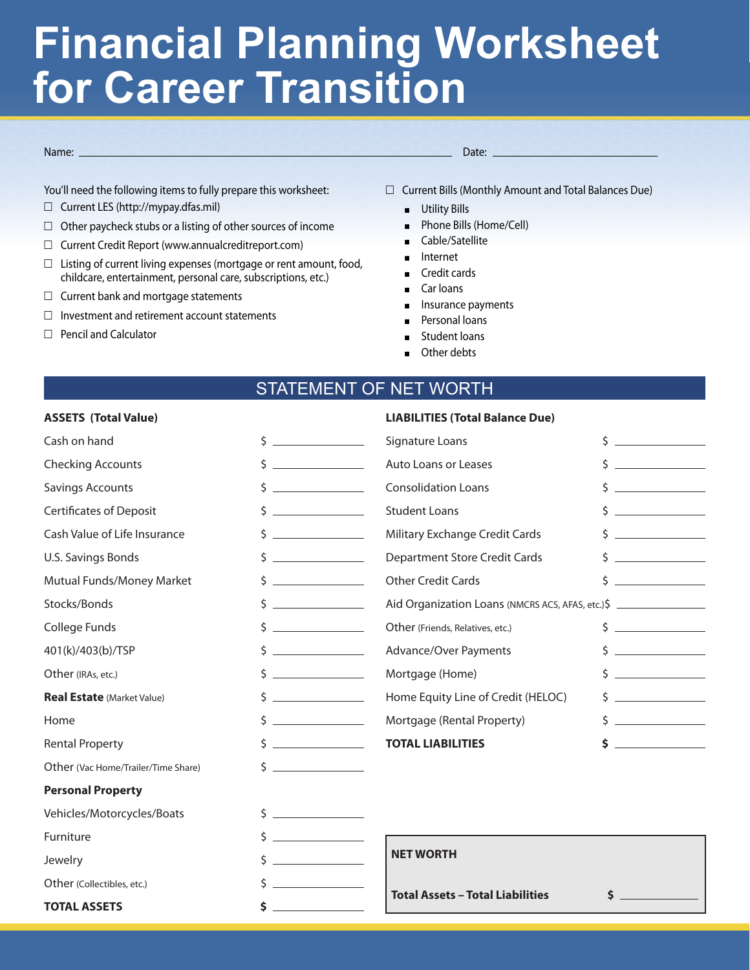# **Financial Planning Worksheet for Career Transition**

#### Name: Date:

You'll need the following items to fully prepare this worksheet:

- $\Box$  Current LES (http://mypay.dfas.mil)
- $\Box$  Other paycheck stubs or a listing of other sources of income
- $\Box$  Current Credit Report (www.annualcreditreport.com)
- $\Box$  Listing of current living expenses (mortgage or rent amount, food, childcare, entertainment, personal care, subscriptions, etc.)
- $\Box$  Current bank and mortgage statements
- $\Box$  Investment and retirement account statements
- $\Box$  Pencil and Calculator

 $\Box$  Current Bills (Monthly Amount and Total Balances Due)

- **Utility Bills**
- **Phone Bills (Home/Cell)**
- Cable/Satellite
- Internet
- $\blacksquare$  Credit cards
- Car loans
- **n** Insurance payments

**LIABILITIES (Total Balance Due)** 

- Personal loans
- Student loans
- Other debts

### STATEMENT OF NET WORTH

#### **ASSETS (Total Value)**

| Cash on hand                        | \$<br><u> Liston de la construcción de la construcción de la construcción de la construcción de la construcción de la c</u>                                                                                                                                                                                                                                                                                                               | \$<br>Signature Loans                            |                             |  |
|-------------------------------------|-------------------------------------------------------------------------------------------------------------------------------------------------------------------------------------------------------------------------------------------------------------------------------------------------------------------------------------------------------------------------------------------------------------------------------------------|--------------------------------------------------|-----------------------------|--|
| <b>Checking Accounts</b>            | \$                                                                                                                                                                                                                                                                                                                                                                                                                                        | Auto Loans or Leases                             | Ś.                          |  |
| <b>Savings Accounts</b>             | $\label{eq:2.1} \frac{1}{\sqrt{2\pi}}\left(\frac{1}{\sqrt{2\pi}}\right)^{1/2}\left(\frac{1}{\sqrt{2\pi}}\right)^{1/2}\left(\frac{1}{\sqrt{2\pi}}\right)^{1/2}\left(\frac{1}{\sqrt{2\pi}}\right)^{1/2}\left(\frac{1}{\sqrt{2\pi}}\right)^{1/2}\left(\frac{1}{\sqrt{2\pi}}\right)^{1/2}\left(\frac{1}{\sqrt{2\pi}}\right)^{1/2}\left(\frac{1}{\sqrt{2\pi}}\right)^{1/2}\left(\frac{1}{\sqrt{2\pi}}\right)^{1/2}\left(\frac{1}{\sqrt{$<br>\$ | <b>Consolidation Loans</b>                       |                             |  |
| <b>Certificates of Deposit</b>      | \$                                                                                                                                                                                                                                                                                                                                                                                                                                        | <b>Student Loans</b>                             | $\frac{1}{2}$               |  |
| Cash Value of Life Insurance        | Ś                                                                                                                                                                                                                                                                                                                                                                                                                                         | Military Exchange Credit Cards                   |                             |  |
| <b>U.S. Savings Bonds</b>           | Ś.                                                                                                                                                                                                                                                                                                                                                                                                                                        | <b>Department Store Credit Cards</b>             |                             |  |
| Mutual Funds/Money Market           | Ś.                                                                                                                                                                                                                                                                                                                                                                                                                                        | <b>Other Credit Cards</b>                        | $\mathsf{S}$ $\blacksquare$ |  |
| Stocks/Bonds                        | <u> Liston de la construcción de la construcción de la construcción de la construcción de la construcción de la c</u><br>Ś.                                                                                                                                                                                                                                                                                                               | Aid Organization Loans (NMCRS ACS, AFAS, etc.)\$ |                             |  |
| College Funds                       | $\label{eq:2.1} \frac{1}{\sqrt{2\pi}}\left(\frac{1}{\sqrt{2\pi}}\right)^{1/2}\left(\frac{1}{\sqrt{2\pi}}\right)^{1/2}\left(\frac{1}{\sqrt{2\pi}}\right)^{1/2}\left(\frac{1}{\sqrt{2\pi}}\right)^{1/2}.$<br>Ś.                                                                                                                                                                                                                             | Other (Friends, Relatives, etc.)                 | $\frac{1}{2}$               |  |
| 401(k)/403(b)/TSP                   | <u> The Community of the Community</u><br>\$                                                                                                                                                                                                                                                                                                                                                                                              | Advance/Over Payments                            | $\frac{1}{2}$               |  |
| Other (IRAs, etc.)                  | <u> The Communication of the Communication</u><br>\$                                                                                                                                                                                                                                                                                                                                                                                      | Mortgage (Home)                                  | $\frac{1}{2}$               |  |
| <b>Real Estate (Market Value)</b>   | Ś.                                                                                                                                                                                                                                                                                                                                                                                                                                        | Home Equity Line of Credit (HELOC)               |                             |  |
| Home                                | $\mathsf{S}$ $\qquad \qquad \qquad$                                                                                                                                                                                                                                                                                                                                                                                                       | Mortgage (Rental Property)                       | $\mathsf{S}$                |  |
| <b>Rental Property</b>              | $\mathsf{S}$ $\qquad \qquad$                                                                                                                                                                                                                                                                                                                                                                                                              | <b>TOTAL LIABILITIES</b>                         |                             |  |
| Other (Vac Home/Trailer/Time Share) | <u> Alexandria (Carlo)</u><br>Ś.                                                                                                                                                                                                                                                                                                                                                                                                          |                                                  |                             |  |
| <b>Personal Property</b>            |                                                                                                                                                                                                                                                                                                                                                                                                                                           |                                                  |                             |  |
| Vehicles/Motorcycles/Boats          | Ś.<br><u> 1990 - Jan Barbara Barat, p</u>                                                                                                                                                                                                                                                                                                                                                                                                 |                                                  |                             |  |
| Furniture                           | \$                                                                                                                                                                                                                                                                                                                                                                                                                                        |                                                  |                             |  |
| Jewelry                             |                                                                                                                                                                                                                                                                                                                                                                                                                                           | <b>NET WORTH</b>                                 |                             |  |
| Other (Collectibles, etc.)          |                                                                                                                                                                                                                                                                                                                                                                                                                                           |                                                  |                             |  |
| <b>TOTAL ASSETS</b>                 | \$                                                                                                                                                                                                                                                                                                                                                                                                                                        | <b>Total Assets - Total Liabilities</b><br>\$    |                             |  |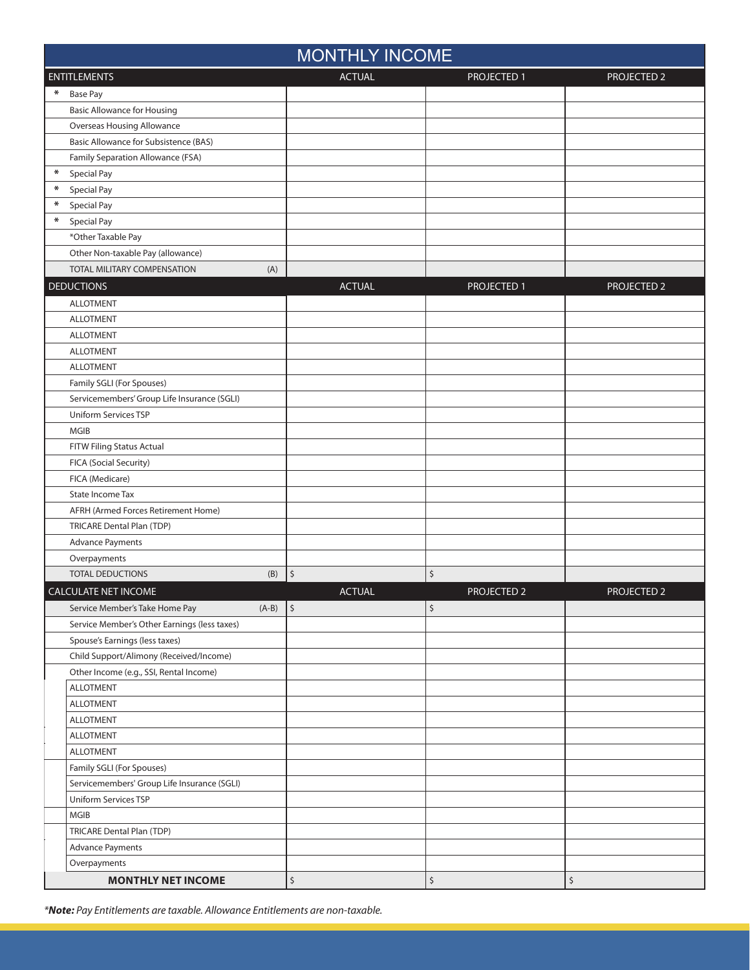|        | <b>MONTHLY INCOME</b>                        |                      |                    |                    |  |  |
|--------|----------------------------------------------|----------------------|--------------------|--------------------|--|--|
|        | <b>ENTITLEMENTS</b>                          | <b>ACTUAL</b>        | PROJECTED 1        | PROJECTED 2        |  |  |
| ∗      | <b>Base Pay</b>                              |                      |                    |                    |  |  |
|        | <b>Basic Allowance for Housing</b>           |                      |                    |                    |  |  |
|        | <b>Overseas Housing Allowance</b>            |                      |                    |                    |  |  |
|        | Basic Allowance for Subsistence (BAS)        |                      |                    |                    |  |  |
|        | Family Separation Allowance (FSA)            |                      |                    |                    |  |  |
| $\ast$ | Special Pay                                  |                      |                    |                    |  |  |
| $\ast$ | Special Pay                                  |                      |                    |                    |  |  |
| $\ast$ | Special Pay                                  |                      |                    |                    |  |  |
| $\ast$ | Special Pay                                  |                      |                    |                    |  |  |
|        | *Other Taxable Pay                           |                      |                    |                    |  |  |
|        | Other Non-taxable Pay (allowance)            |                      |                    |                    |  |  |
|        | TOTAL MILITARY COMPENSATION<br>(A)           |                      |                    |                    |  |  |
|        | <b>DEDUCTIONS</b>                            | <b>ACTUAL</b>        | PROJECTED 1        | PROJECTED 2        |  |  |
|        | <b>ALLOTMENT</b>                             |                      |                    |                    |  |  |
|        | <b>ALLOTMENT</b>                             |                      |                    |                    |  |  |
|        | <b>ALLOTMENT</b>                             |                      |                    |                    |  |  |
|        | <b>ALLOTMENT</b>                             |                      |                    |                    |  |  |
|        | <b>ALLOTMENT</b>                             |                      |                    |                    |  |  |
|        | Family SGLI (For Spouses)                    |                      |                    |                    |  |  |
|        | Servicemembers' Group Life Insurance (SGLI)  |                      |                    |                    |  |  |
|        | Uniform Services TSP                         |                      |                    |                    |  |  |
|        | <b>MGIB</b>                                  |                      |                    |                    |  |  |
|        | FITW Filing Status Actual                    |                      |                    |                    |  |  |
|        | FICA (Social Security)                       |                      |                    |                    |  |  |
|        | FICA (Medicare)                              |                      |                    |                    |  |  |
|        | State Income Tax                             |                      |                    |                    |  |  |
|        | AFRH (Armed Forces Retirement Home)          |                      |                    |                    |  |  |
|        | <b>TRICARE Dental Plan (TDP)</b>             |                      |                    |                    |  |  |
|        | <b>Advance Payments</b>                      |                      |                    |                    |  |  |
|        | Overpayments                                 |                      |                    |                    |  |  |
|        | <b>TOTAL DEDUCTIONS</b><br>(B)               | $\boldsymbol{\zeta}$ | \$                 |                    |  |  |
|        | <b>CALCULATE NET INCOME</b>                  | <b>ACTUAL</b>        | <b>PROJECTED 2</b> | <b>PROJECTED 2</b> |  |  |
|        | $(A-B)$<br>Service Member's Take Home Pay    | \$                   | \$                 |                    |  |  |
|        | Service Member's Other Earnings (less taxes) |                      |                    |                    |  |  |
|        | Spouse's Earnings (less taxes)               |                      |                    |                    |  |  |
|        | Child Support/Alimony (Received/Income)      |                      |                    |                    |  |  |
|        | Other Income (e.g., SSI, Rental Income)      |                      |                    |                    |  |  |
|        | <b>ALLOTMENT</b>                             |                      |                    |                    |  |  |
|        | <b>ALLOTMENT</b>                             |                      |                    |                    |  |  |
|        | <b>ALLOTMENT</b>                             |                      |                    |                    |  |  |
|        | <b>ALLOTMENT</b>                             |                      |                    |                    |  |  |
|        | <b>ALLOTMENT</b>                             |                      |                    |                    |  |  |
|        | Family SGLI (For Spouses)                    |                      |                    |                    |  |  |
|        | Servicemembers' Group Life Insurance (SGLI)  |                      |                    |                    |  |  |
|        | Uniform Services TSP                         |                      |                    |                    |  |  |
|        | MGIB                                         |                      |                    |                    |  |  |
|        | TRICARE Dental Plan (TDP)                    |                      |                    |                    |  |  |
|        | <b>Advance Payments</b>                      |                      |                    |                    |  |  |
|        | Overpayments                                 |                      |                    |                    |  |  |
|        | <b>MONTHLY NET INCOME</b>                    | \$                   | \$                 | $\zeta$            |  |  |

*\*Note: Pay Entitlements are taxable. Allowance Entitlements are non-taxable.*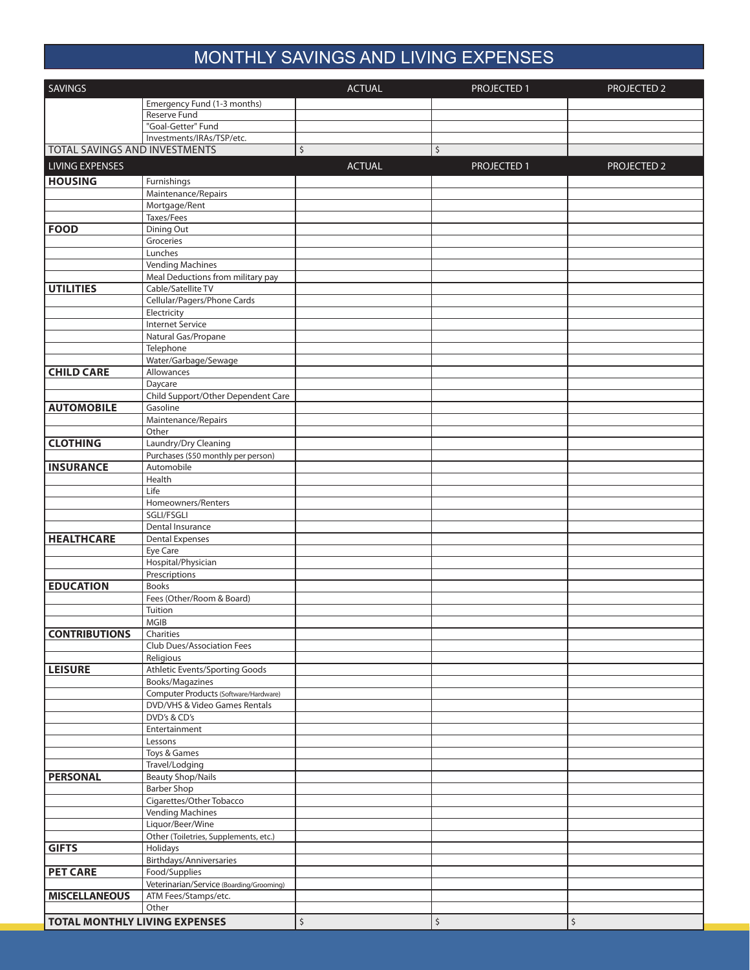# MONTHLY SAVINGS AND LIVING EXPENSES

| <b>SAVINGS</b>                       |                                                          | <b>ACTUAL</b>        | PROJECTED 1 | <b>PROJECTED 2</b> |
|--------------------------------------|----------------------------------------------------------|----------------------|-------------|--------------------|
|                                      | Emergency Fund (1-3 months)                              |                      |             |                    |
|                                      | Reserve Fund                                             |                      |             |                    |
|                                      | "Goal-Getter" Fund                                       |                      |             |                    |
|                                      | Investments/IRAs/TSP/etc.                                |                      |             |                    |
| TOTAL SAVINGS AND INVESTMENTS        |                                                          | \$                   | \$          |                    |
| <b>LIVING EXPENSES</b>               |                                                          | <b>ACTUAL</b>        | PROJECTED 1 | PROJECTED 2        |
| <b>HOUSING</b>                       | Furnishings                                              |                      |             |                    |
|                                      | Maintenance/Repairs                                      |                      |             |                    |
|                                      | Mortgage/Rent                                            |                      |             |                    |
|                                      | Taxes/Fees                                               |                      |             |                    |
| <b>FOOD</b>                          | Dining Out                                               |                      |             |                    |
|                                      | Groceries                                                |                      |             |                    |
|                                      | Lunches                                                  |                      |             |                    |
|                                      | <b>Vending Machines</b>                                  |                      |             |                    |
|                                      | Meal Deductions from military pay<br>Cable/Satellite TV  |                      |             |                    |
| <b>UTILITIES</b>                     | Cellular/Pagers/Phone Cards                              |                      |             |                    |
|                                      | Electricity                                              |                      |             |                    |
|                                      | <b>Internet Service</b>                                  |                      |             |                    |
|                                      | Natural Gas/Propane                                      |                      |             |                    |
|                                      | Telephone                                                |                      |             |                    |
|                                      | Water/Garbage/Sewage                                     |                      |             |                    |
| <b>CHILD CARE</b>                    | Allowances                                               |                      |             |                    |
|                                      | Daycare                                                  |                      |             |                    |
|                                      | Child Support/Other Dependent Care                       |                      |             |                    |
| <b>AUTOMOBILE</b>                    | Gasoline                                                 |                      |             |                    |
|                                      | Maintenance/Repairs                                      |                      |             |                    |
| <b>CLOTHING</b>                      | Other<br>Laundry/Dry Cleaning                            |                      |             |                    |
|                                      | Purchases (\$50 monthly per person)                      |                      |             |                    |
| <b>INSURANCE</b>                     | Automobile                                               |                      |             |                    |
|                                      | Health                                                   |                      |             |                    |
|                                      | Life                                                     |                      |             |                    |
|                                      | Homeowners/Renters                                       |                      |             |                    |
|                                      | SGLI/FSGLI                                               |                      |             |                    |
|                                      | Dental Insurance                                         |                      |             |                    |
| <b>HEALTHCARE</b>                    | <b>Dental Expenses</b>                                   |                      |             |                    |
|                                      | Eye Care<br>Hospital/Physician                           |                      |             |                    |
|                                      | Prescriptions                                            |                      |             |                    |
| <b>EDUCATION</b>                     | <b>Books</b>                                             |                      |             |                    |
|                                      | Fees (Other/Room & Board)                                |                      |             |                    |
|                                      | Tuition                                                  |                      |             |                    |
|                                      | MGIB                                                     |                      |             |                    |
| <b>CONTRIBUTIONS</b>                 | Charities                                                |                      |             |                    |
|                                      | Club Dues/Association Fees                               |                      |             |                    |
|                                      | Religious                                                |                      |             |                    |
| <b>LEISURE</b>                       | Athletic Events/Sporting Goods                           |                      |             |                    |
|                                      | Books/Magazines<br>Computer Products (Software/Hardware) |                      |             |                    |
|                                      | DVD/VHS & Video Games Rentals                            |                      |             |                    |
|                                      | DVD's & CD's                                             |                      |             |                    |
|                                      | Entertainment                                            |                      |             |                    |
|                                      | Lessons                                                  |                      |             |                    |
|                                      | Toys & Games                                             |                      |             |                    |
|                                      | Travel/Lodging                                           |                      |             |                    |
| <b>PERSONAL</b>                      | <b>Beauty Shop/Nails</b>                                 |                      |             |                    |
|                                      | <b>Barber Shop</b>                                       |                      |             |                    |
|                                      | Cigarettes/Other Tobacco                                 |                      |             |                    |
|                                      | <b>Vending Machines</b>                                  |                      |             |                    |
|                                      | Liquor/Beer/Wine                                         |                      |             |                    |
| <b>GIFTS</b>                         | Other (Toiletries, Supplements, etc.)<br>Holidays        |                      |             |                    |
|                                      | Birthdays/Anniversaries                                  |                      |             |                    |
| <b>PET CARE</b>                      | Food/Supplies                                            |                      |             |                    |
|                                      | Veterinarian/Service (Boarding/Grooming)                 |                      |             |                    |
| <b>MISCELLANEOUS</b>                 | ATM Fees/Stamps/etc.                                     |                      |             |                    |
|                                      | Other                                                    |                      |             |                    |
| <b>TOTAL MONTHLY LIVING EXPENSES</b> |                                                          | $\boldsymbol{\zeta}$ | \$          | \$                 |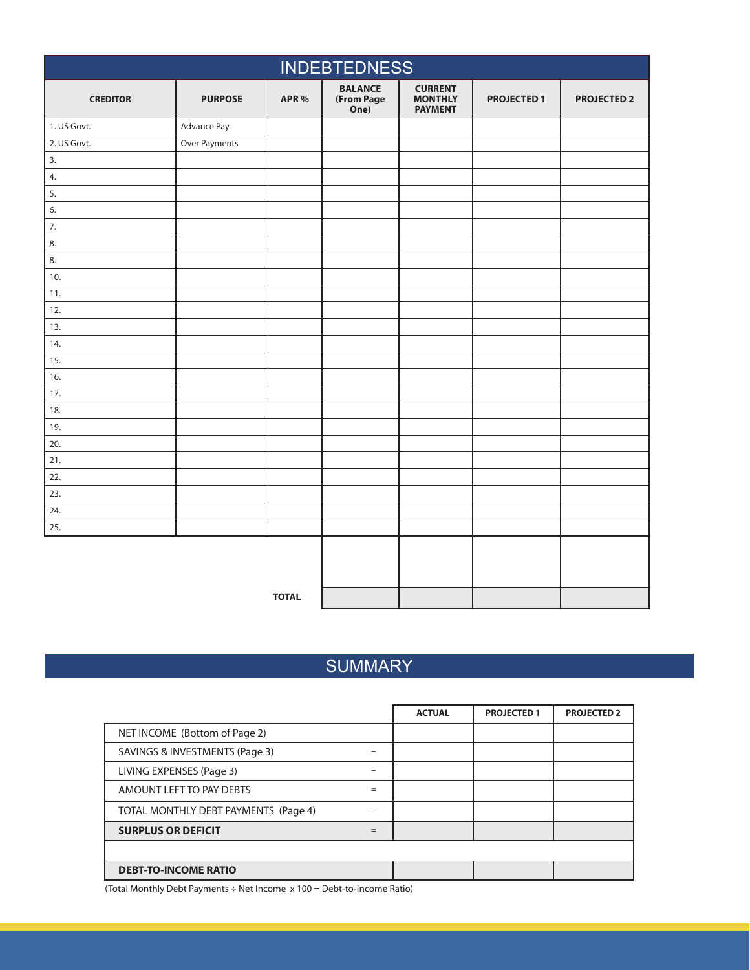| <b>INDEBTEDNESS</b> |                |              |                                      |                                                    |                    |                    |
|---------------------|----------------|--------------|--------------------------------------|----------------------------------------------------|--------------------|--------------------|
| <b>CREDITOR</b>     | <b>PURPOSE</b> | APR %        | <b>BALANCE</b><br>(From Page<br>One) | <b>CURRENT</b><br><b>MONTHLY</b><br><b>PAYMENT</b> | <b>PROJECTED 1</b> | <b>PROJECTED 2</b> |
| 1. US Govt.         | Advance Pay    |              |                                      |                                                    |                    |                    |
| 2. US Govt.         | Over Payments  |              |                                      |                                                    |                    |                    |
| 3.                  |                |              |                                      |                                                    |                    |                    |
| 4.                  |                |              |                                      |                                                    |                    |                    |
| 5.                  |                |              |                                      |                                                    |                    |                    |
| 6.                  |                |              |                                      |                                                    |                    |                    |
| 7.                  |                |              |                                      |                                                    |                    |                    |
| 8.                  |                |              |                                      |                                                    |                    |                    |
| 8.                  |                |              |                                      |                                                    |                    |                    |
| 10.                 |                |              |                                      |                                                    |                    |                    |
| 11.                 |                |              |                                      |                                                    |                    |                    |
| 12.                 |                |              |                                      |                                                    |                    |                    |
| 13.                 |                |              |                                      |                                                    |                    |                    |
| 14.                 |                |              |                                      |                                                    |                    |                    |
| 15.                 |                |              |                                      |                                                    |                    |                    |
| 16.                 |                |              |                                      |                                                    |                    |                    |
| 17.                 |                |              |                                      |                                                    |                    |                    |
| 18.                 |                |              |                                      |                                                    |                    |                    |
| 19.                 |                |              |                                      |                                                    |                    |                    |
| 20.                 |                |              |                                      |                                                    |                    |                    |
| 21.                 |                |              |                                      |                                                    |                    |                    |
| 22.                 |                |              |                                      |                                                    |                    |                    |
| 23.                 |                |              |                                      |                                                    |                    |                    |
| 24.                 |                |              |                                      |                                                    |                    |                    |
| 25.                 |                |              |                                      |                                                    |                    |                    |
|                     |                |              |                                      |                                                    |                    |                    |
|                     |                |              |                                      |                                                    |                    |                    |
|                     |                |              |                                      |                                                    |                    |                    |
|                     |                | <b>TOTAL</b> |                                      |                                                    |                    |                    |

## **SUMMARY**

|                                      |     | <b>ACTUAL</b> | <b>PROJECTED 1</b> | <b>PROJECTED 2</b> |
|--------------------------------------|-----|---------------|--------------------|--------------------|
| NET INCOME (Bottom of Page 2)        |     |               |                    |                    |
| SAVINGS & INVESTMENTS (Page 3)       |     |               |                    |                    |
| LIVING EXPENSES (Page 3)             |     |               |                    |                    |
| AMOUNT LEFT TO PAY DEBTS             | $=$ |               |                    |                    |
| TOTAL MONTHLY DEBT PAYMENTS (Page 4) |     |               |                    |                    |
| <b>SURPLUS OR DEFICIT</b>            |     |               |                    |                    |
|                                      |     |               |                    |                    |
| <b>DEBT-TO-INCOME RATIO</b>          |     |               |                    |                    |

(Total Monthly Debt Payments ÷ Net Income x 100 = Debt-to-Income Ratio)